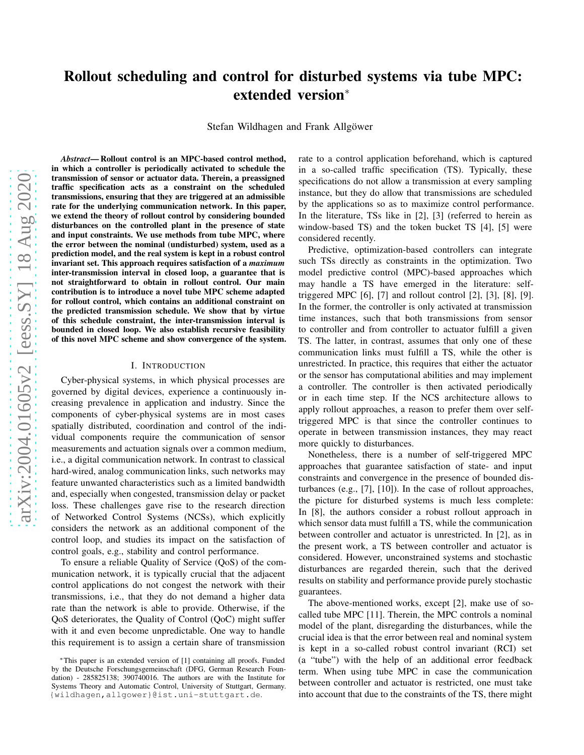# Rollout scheduling and control for disturbed systems via tube MPC: extended version<sup>∗</sup>

Stefan Wildhagen and Frank Allgöwer

arXiv:2004.01605v2 [eess.SY] 18 Aug 2020 [arXiv:2004.01605v2 \[eess.SY\] 18 Aug 2020](http://arxiv.org/abs/2004.01605v2)

*Abstract*— Rollout control is an MPC-based control method, in which a controller is periodically activated to schedule the transmission of sensor or actuator data. Therein, a preassigned traffic specification acts as a constraint on the scheduled transmissions, ensuring that they are triggered at an admissible rate for the underlying communication network. In this paper, we extend the theory of rollout control by considering bounded disturbances on the controlled plant in the presence of state and input constraints. We use methods from tube MPC, where the error between the nominal (undisturbed) system, used as a prediction model, and the real system is kept in a robust control invariant set. This approach requires satisfaction of a *maximum* inter-transmission interval in closed loop, a guarantee that is not straightforward to obtain in rollout control. Our main contribution is to introduce a novel tube MPC scheme adapted for rollout control, which contains an additional constraint on the predicted transmission schedule. We show that by virtue of this schedule constraint, the inter-transmission interval is bounded in closed loop. We also establish recursive feasibility of this novel MPC scheme and show convergence of the system.

## I. INTRODUCTION

Cyber-physical systems, in which physical processes are governed by digital devices, experience a continuously increasing prevalence in application and industry. Since the components of cyber-physical systems are in most cases spatially distributed, coordination and control of the individual components require the communication of sensor measurements and actuation signals over a common medium, i.e., a digital communication network. In contrast to classical hard-wired, analog communication links, such networks may feature unwanted characteristics such as a limited bandwidth and, especially when congested, transmission delay or packet loss. These challenges gave rise to the research direction of Networked Control Systems (NCSs), which explicitly considers the network as an additional component of the control loop, and studies its impact on the satisfaction of control goals, e.g., stability and control performance.

To ensure a reliable Quality of Service (QoS) of the communication network, it is typically crucial that the adjacent control applications do not congest the network with their transmissions, i.e., that they do not demand a higher data rate than the network is able to provide. Otherwise, if the QoS deteriorates, the Quality of Control (QoC) might suffer with it and even become unpredictable. One way to handle this requirement is to assign a certain share of transmission

rate to a control application beforehand, which is captured in a so-called traffic specification (TS). Typically, these specifications do not allow a transmission at every sampling instance, but they do allow that transmissions are scheduled by the applications so as to maximize control performance. In the literature, TSs like in [2], [3] (referred to herein as window-based TS) and the token bucket TS [4], [5] were considered recently.

Predictive, optimization-based controllers can integrate such TSs directly as constraints in the optimization. Two model predictive control (MPC)-based approaches which may handle a TS have emerged in the literature: selftriggered MPC  $[6]$ ,  $[7]$  and rollout control  $[2]$ ,  $[3]$ ,  $[8]$ ,  $[9]$ . In the former, the controller is only activated at transmission time instances, such that both transmissions from sensor to controller and from controller to actuator fulfill a given TS. The latter, in contrast, assumes that only one of these communication links must fulfill a TS, while the other is unrestricted. In practice, this requires that either the actuator or the sensor has computational abilities and may implement a controller. The controller is then activated periodically or in each time step. If the NCS architecture allows to apply rollout approaches, a reason to prefer them over selftriggered MPC is that since the controller continues to operate in between transmission instances, they may react more quickly to disturbances.

Nonetheless, there is a number of self-triggered MPC approaches that guarantee satisfaction of state- and input constraints and convergence in the presence of bounded disturbances (e.g., [7], [10]). In the case of rollout approaches, the picture for disturbed systems is much less complete: In [8], the authors consider a robust rollout approach in which sensor data must fulfill a TS, while the communication between controller and actuator is unrestricted. In [2], as in the present work, a TS between controller and actuator is considered. However, unconstrained systems and stochastic disturbances are regarded therein, such that the derived results on stability and performance provide purely stochastic guarantees.

The above-mentioned works, except [2], make use of socalled tube MPC [11]. Therein, the MPC controls a nominal model of the plant, disregarding the disturbances, while the crucial idea is that the error between real and nominal system is kept in a so-called robust control invariant (RCI) set (a "tube") with the help of an additional error feedback term. When using tube MPC in case the communication between controller and actuator is restricted, one must take into account that due to the constraints of the TS, there might

<sup>∗</sup>This paper is an extended version of [1] containing all proofs. Funded by the Deutsche Forschungsgemeinschaft (DFG, German Research Foundation) - 285825138; 390740016. The authors are with the Institute for Systems Theory and Automatic Control, University of Stuttgart, Germany. {wildhagen,allgower}@ist.uni-stuttgart.de.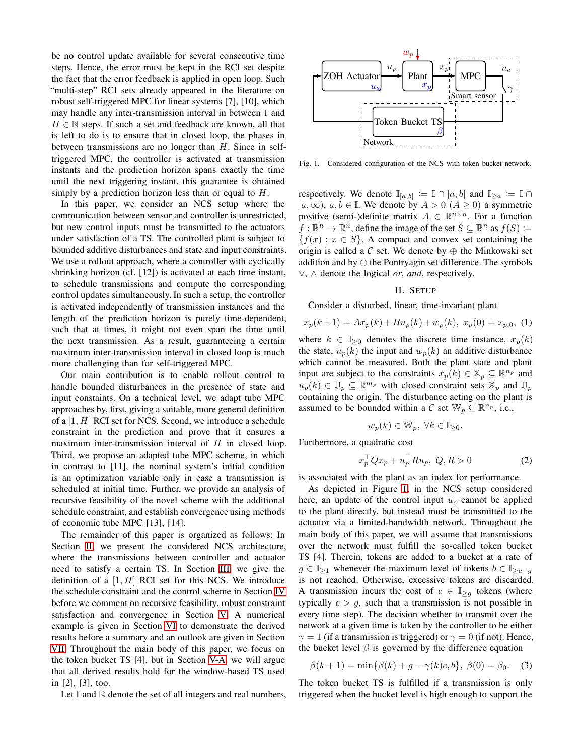be no control update available for several consecutive time steps. Hence, the error must be kept in the RCI set despite the fact that the error feedback is applied in open loop. Such "multi-step" RCI sets already appeared in the literature on robust self-triggered MPC for linear systems [7], [10], which may handle any inter-transmission interval in between 1 and  $H \in \mathbb{N}$  steps. If such a set and feedback are known, all that is left to do is to ensure that in closed loop, the phases in between transmissions are no longer than  $H$ . Since in selftriggered MPC, the controller is activated at transmission instants and the prediction horizon spans exactly the time until the next triggering instant, this guarantee is obtained simply by a prediction horizon less than or equal to H.

In this paper, we consider an NCS setup where the communication between sensor and controller is unrestricted, but new control inputs must be transmitted to the actuators under satisfaction of a TS. The controlled plant is subject to bounded additive disturbances and state and input constraints. We use a rollout approach, where a controller with cyclically shrinking horizon (cf. [12]) is activated at each time instant, to schedule transmissions and compute the corresponding control updates simultaneously. In such a setup, the controller is activated independently of transmission instances and the length of the prediction horizon is purely time-dependent, such that at times, it might not even span the time until the next transmission. As a result, guaranteeing a certain maximum inter-transmission interval in closed loop is much more challenging than for self-triggered MPC.

Our main contribution is to enable rollout control to handle bounded disturbances in the presence of state and input constaints. On a technical level, we adapt tube MPC approaches by, first, giving a suitable, more general definition of a  $[1, H]$  RCI set for NCS. Second, we introduce a schedule constraint in the prediction and prove that it ensures a maximum inter-transmission interval of  $H$  in closed loop. Third, we propose an adapted tube MPC scheme, in which in contrast to [11], the nominal system's initial condition is an optimization variable only in case a transmission is scheduled at initial time. Further, we provide an analysis of recursive feasibility of the novel scheme with the additional schedule constraint, and establish convergence using methods of economic tube MPC [13], [14].

The remainder of this paper is organized as follows: In Section [II,](#page-1-0) we present the considered NCS architecture, where the transmissions between controller and actuator need to satisfy a certain TS. In Section [III,](#page-2-0) we give the definition of a  $[1, H]$  RCI set for this NCS. We introduce the schedule constraint and the control scheme in Section [IV](#page-2-1) before we comment on recursive feasibility, robust constraint satisfaction and convergence in Section [V.](#page-4-0) A numerical example is given in Section [VI](#page-5-0) to demonstrate the derived results before a summary and an outlook are given in Section [VII.](#page-5-1) Throughout the main body of this paper, we focus on the token bucket TS [4], but in Section [V-A,](#page-4-1) we will argue that all derived results hold for the window-based TS used in [2], [3], too.

Let  $\mathbb I$  and  $\mathbb R$  denote the set of all integers and real numbers,



<span id="page-1-1"></span>Fig. 1. Considered configuration of the NCS with token bucket network.

respectively. We denote  $\mathbb{I}_{[a,b]} := \mathbb{I} \cap [a,b]$  and  $\mathbb{I}_{\geq a} := \mathbb{I} \cap$  $[a, \infty), a, b \in \mathbb{I}$ . We denote by  $A > 0$   $(A \ge 0)$  a symmetric positive (semi-)definite matrix  $A \in \mathbb{R}^{n \times n}$ . For a function  $f : \mathbb{R}^n \to \mathbb{R}^n$ , define the image of the set  $S \subseteq \mathbb{R}^n$  as  $f(S) \coloneqq$  ${f(x) : x \in S}$ . A compact and convex set containing the origin is called a  $\mathcal C$  set. We denote by  $\oplus$  the Minkowski set addition and by ⊖ the Pontryagin set difference. The symbols ∨, ∧ denote the logical *or*, *and*, respectively.

## II. SETUP

<span id="page-1-0"></span>Consider a disturbed, linear, time-invariant plant

$$
x_p(k+1) = Ax_p(k) + Bu_p(k) + w_p(k), \ x_p(0) = x_{p,0}, \ (1)
$$

where  $k \in \mathbb{I}_{\geq 0}$  denotes the discrete time instance,  $x_p(k)$ the state,  $u_p(k)$  the input and  $w_p(k)$  an additive disturbance which cannot be measured. Both the plant state and plant input are subject to the constraints  $x_p(k) \in \mathbb{X}_p \subseteq \mathbb{R}^{n_p}$  and  $u_p(k) \in \mathbb{U}_p \subseteq \mathbb{R}^{m_p}$  with closed constraint sets  $\mathbb{X}_p$  and  $\mathbb{U}_p$ containing the origin. The disturbance acting on the plant is assumed to be bounded within a C set  $\mathbb{W}_p \subseteq \mathbb{R}^{n_p}$ , i.e.,

$$
w_p(k) \in \mathbb{W}_p, \ \forall k \in \mathbb{I}_{\geq 0}.
$$

Furthermore, a quadratic cost

<span id="page-1-2"></span>
$$
x_p^\top Q x_p + u_p^\top R u_p, \ Q, R > 0 \tag{2}
$$

is associated with the plant as an index for performance.

As depicted in Figure [1,](#page-1-1) in the NCS setup considered here, an update of the control input  $u_c$  cannot be applied to the plant directly, but instead must be transmitted to the actuator via a limited-bandwidth network. Throughout the main body of this paper, we will assume that transmissions over the network must fulfill the so-called token bucket TS [4]. Therein, tokens are added to a bucket at a rate of  $g \in \mathbb{I}_{\geq 1}$  whenever the maximum level of tokens  $b \in \mathbb{I}_{\geq c-q}$ is not reached. Otherwise, excessive tokens are discarded. A transmission incurs the cost of  $c \in \mathbb{I}_{\geq g}$  tokens (where typically  $c > g$ , such that a transmission is not possible in every time step). The decision whether to transmit over the network at a given time is taken by the controller to be either  $\gamma = 1$  (if a transmission is triggered) or  $\gamma = 0$  (if not). Hence, the bucket level  $\beta$  is governed by the difference equation

$$
\beta(k+1) = \min\{\beta(k) + g - \gamma(k)c, b\}, \ \beta(0) = \beta_0. \tag{3}
$$

The token bucket TS is fulfilled if a transmission is only triggered when the bucket level is high enough to support the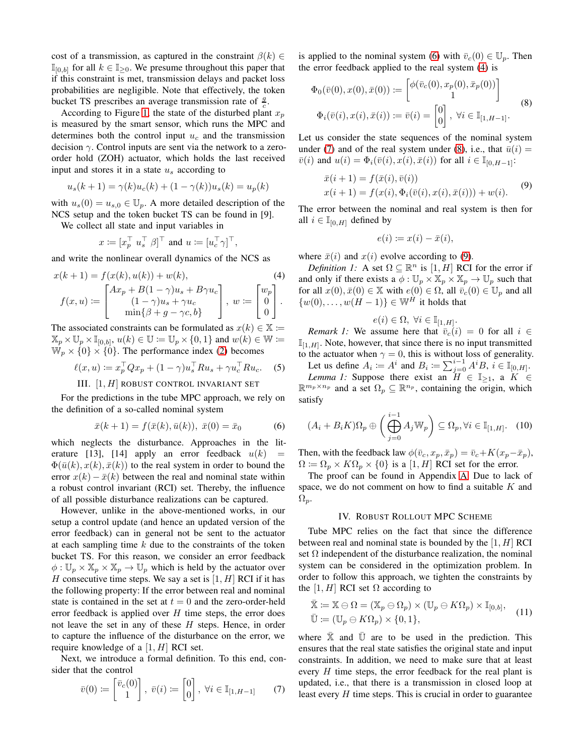cost of a transmission, as captured in the constraint  $\beta(k) \in$  $\mathbb{I}_{[0,b]}$  for all  $k \in \mathbb{I}_{\geq 0}$ . We presume throughout this paper that if this constraint is met, transmission delays and packet loss probabilities are negligible. Note that effectively, the token bucket TS prescribes an average transmission rate of  $\frac{g}{c}$ .

According to Figure [1,](#page-1-1) the state of the disturbed plant  $x_p$ is measured by the smart sensor, which runs the MPC and determines both the control input  $u_c$  and the transmission decision  $\gamma$ . Control inputs are sent via the network to a zeroorder hold (ZOH) actuator, which holds the last received input and stores it in a state  $u_s$  according to

$$
u_s(k + 1) = \gamma(k)u_c(k) + (1 - \gamma(k))u_s(k) = u_p(k)
$$

with  $u_s(0) = u_{s,0} \in \mathbb{U}_p$ . A more detailed description of the NCS setup and the token bucket TS can be found in [9].

We collect all state and input variables in

$$
x \coloneqq [x_p^\top \ u_s^\top \ \beta]^\top \ \text{and} \ u \coloneqq [u_c^\top \gamma]^\top,
$$

and write the nonlinear overall dynamics of the NCS as

$$
x(k+1) = f(x(k), u(k)) + w(k),
$$
  
\n
$$
f(x, u) := \begin{bmatrix} Ax_p + B(1-\gamma)u_s + B\gamma u_c \\ (1-\gamma)u_s + \gamma u_c \\ \min\{\beta + g - \gamma c, b\} \end{bmatrix}, w := \begin{bmatrix} w_p \\ 0 \\ 0 \end{bmatrix}.
$$

The associated constraints can be formulated as  $x(k) \in \mathbb{X}$  :=  $\mathbb{X}_p \times \mathbb{U}_p \times \mathbb{I}_{[0,b]}, u(k) \in \mathbb{U} \coloneqq \mathbb{U}_p \times \{0,1\}$  and  $w(k) \in \mathbb{W} \coloneqq$  $\mathbb{W}_p \times \{0\} \times \{0\}$ . The performance index [\(2\)](#page-1-2) becomes

$$
\ell(x, u) := x_p^\top Q x_p + (1 - \gamma) u_s^\top R u_s + \gamma u_c^\top R u_c. \tag{5}
$$

III. 
$$
[1, H]
$$
 Robust control invariant set

<span id="page-2-0"></span>For the predictions in the tube MPC approach, we rely on the definition of a so-called nominal system

<span id="page-2-2"></span>
$$
\bar{x}(k+1) = f(\bar{x}(k), \bar{u}(k)), \ \bar{x}(0) = \bar{x}_0 \tag{6}
$$

which neglects the disturbance. Approaches in the literature [13], [14] apply an error feedback  $u(k)$  =  $\Phi(\bar{u}(k), x(k), \bar{x}(k))$  to the real system in order to bound the error  $x(k) - \bar{x}(k)$  between the real and nominal state within a robust control invariant (RCI) set. Thereby, the influence of all possible disturbance realizations can be captured.

However, unlike in the above-mentioned works, in our setup a control update (and hence an updated version of the error feedback) can in general not be sent to the actuator at each sampling time  $k$  due to the constraints of the token bucket TS. For this reason, we consider an error feedback  $\phi: \mathbb{U}_p \times \mathbb{X}_p \times \mathbb{X}_p \to \mathbb{U}_p$  which is held by the actuator over H consecutive time steps. We say a set is  $[1, H]$  RCI if it has the following property: If the error between real and nominal state is contained in the set at  $t = 0$  and the zero-order-held error feedback is applied over  $H$  time steps, the error does not leave the set in any of these H steps. Hence, in order to capture the influence of the disturbance on the error, we require knowledge of a  $[1, H]$  RCI set.

Next, we introduce a formal definition. To this end, consider that the control

<span id="page-2-4"></span>
$$
\bar{v}(0) := \begin{bmatrix} \bar{v}_c(0) \\ 1 \end{bmatrix}, \ \bar{v}(i) := \begin{bmatrix} 0 \\ 0 \end{bmatrix}, \ \forall i \in \mathbb{I}_{[1, H-1]} \tag{7}
$$

is applied to the nominal system [\(6\)](#page-2-2) with  $\bar{v}_c(0) \in \mathbb{U}_p$ . Then the error feedback applied to the real system [\(4\)](#page-2-3) is

<span id="page-2-5"></span>
$$
\Phi_0(\bar{v}(0), x(0), \bar{x}(0)) \coloneqq \begin{bmatrix} \phi(\bar{v}_c(0), x_p(0), \bar{x}_p(0)) \\ 1 \end{bmatrix}
$$
\n
$$
\Phi_i(\bar{v}(i), x(i), \bar{x}(i)) \coloneqq \bar{v}(i) = \begin{bmatrix} 0 \\ 0 \end{bmatrix}, \forall i \in \mathbb{I}_{[1, H-1]}.
$$
\n(8)

Let us consider the state sequences of the nominal system under [\(7\)](#page-2-4) and of the real system under [\(8\)](#page-2-5), i.e., that  $\bar{u}(i)$  =  $\overline{v}(i)$  and  $u(i) = \Phi_i(\overline{v}(i), x(i), \overline{x}(i))$  for all  $i \in \mathbb{I}_{[0,H-1]}$ :

<span id="page-2-6"></span>
$$
\begin{aligned} \bar{x}(i+1) &= f(\bar{x}(i), \bar{v}(i)) \\ x(i+1) &= f(x(i), \Phi_i(\bar{v}(i), x(i), \bar{x}(i))) + w(i). \end{aligned} \tag{9}
$$

The error between the nominal and real system is then for all  $i \in \mathbb{I}_{[0,H]}$  defined by

$$
e(i) \coloneqq x(i) - \bar{x}(i),
$$

where  $\bar{x}(i)$  and  $x(i)$  evolve according to [\(9\)](#page-2-6).

satisfy

<span id="page-2-3"></span>*Definition 1:* A set  $\Omega \subseteq \mathbb{R}^n$  is  $[1, H]$  RCI for the error if and only if there exists a  $\phi : \mathbb{U}_p \times \mathbb{X}_p \times \mathbb{X}_p \to \mathbb{U}_p$  such that for all  $x(0), \bar{x}(0) \in \mathbb{X}$  with  $e(0) \in \Omega$ , all  $\bar{v}_c(0) \in \mathbb{U}_p$  and all  $\{w(0), \ldots, w(H-1)\} \in \mathbb{W}^H$  it holds that

$$
e(i) \in \Omega, \ \forall i \in \mathbb{I}_{[1,H]}.
$$

*Remark 1:* We assume here that  $\bar{v}_c(i) = 0$  for all  $i \in$  $\mathbb{I}_{[1,H]}$ . Note, however, that since there is no input transmitted to the actuator when  $\gamma = 0$ , this is without loss of generality.

Let us define  $A_i := A^i$  and  $B_i := \sum_{j=0}^{i-1} A^i B, i \in \mathbb{I}_{[0,H]}$ . *Lemma 1:* Suppose there exist an  $H \in \mathbb{I}_{\geq 1}$ , a  $K \in$  $\mathbb{R}^{m_p \times n_p}$  and a set  $\Omega_p \subseteq \mathbb{R}^{n_p}$ , containing the origin, which

<span id="page-2-7"></span>
$$
(A_i + B_i K)\Omega_p \oplus \left(\bigoplus_{j=0}^{i-1} A_j \mathbb{W}_p\right) \subseteq \Omega_p, \forall i \in \mathbb{I}_{[1,H]}.\tag{10}
$$

Then, with the feedback law  $\phi(\bar{v}_c, x_p, \bar{x}_p) = \bar{v}_c + K(x_p - \bar{x}_p)$ ,  $\Omega := \Omega_p \times K\Omega_p \times \{0\}$  is a [1, H] RCI set for the error.

The proof can be found in Appendix [A.](#page-6-0) Due to lack of space, we do not comment on how to find a suitable  $K$  and  $\Omega_p$ .

## IV. ROBUST ROLLOUT MPC SCHEME

<span id="page-2-1"></span>Tube MPC relies on the fact that since the difference between real and nominal state is bounded by the  $[1, H]$  RCI set  $\Omega$  independent of the disturbance realization, the nominal system can be considered in the optimization problem. In order to follow this approach, we tighten the constraints by the [1, H] RCI set  $\Omega$  according to

<span id="page-2-8"></span>
$$
\bar{\mathbb{X}} := \mathbb{X} \ominus \Omega = (\mathbb{X}_p \ominus \Omega_p) \times (\mathbb{U}_p \ominus K\Omega_p) \times \mathbb{I}_{[0,b]},
$$
\n
$$
\bar{\mathbb{U}} := (\mathbb{U}_p \ominus K\Omega_p) \times \{0,1\},
$$
\n(11)

where  $X$  and  $U$  are to be used in the prediction. This ensures that the real state satisfies the original state and input constraints. In addition, we need to make sure that at least every  $H$  time steps, the error feedback for the real plant is updated, i.e., that there is a transmission in closed loop at least every H time steps. This is crucial in order to guarantee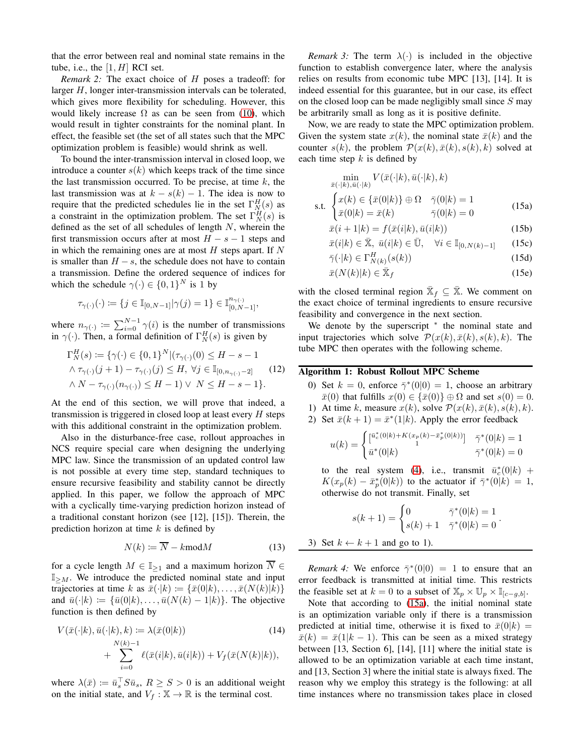that the error between real and nominal state remains in the tube, i.e., the  $[1, H]$  RCI set.

*Remark 2:* The exact choice of H poses a tradeoff: for larger H, longer inter-transmission intervals can be tolerated, which gives more flexibility for scheduling. However, this would likely increase  $\Omega$  as can be seen from [\(10\)](#page-2-7), which would result in tighter constraints for the nominal plant. In effect, the feasible set (the set of all states such that the MPC optimization problem is feasible) would shrink as well.

To bound the inter-transmission interval in closed loop, we introduce a counter  $s(k)$  which keeps track of the time since the last transmission occurred. To be precise, at time  $k$ , the last transmission was at  $k - s(k) - 1$ . The idea is now to require that the predicted schedules lie in the set  $\Gamma_N^H(s)$  as a constraint in the optimization problem. The set  $\Gamma_N^H(s)$  is defined as the set of all schedules of length  $N$ , wherein the first transmission occurs after at most  $H - s - 1$  steps and in which the remaining ones are at most  $H$  steps apart. If  $N$ is smaller than  $H - s$ , the schedule does not have to contain a transmission. Define the ordered sequence of indices for which the schedule  $\gamma(\cdot) \in \{0,1\}^N$  is 1 by

$$
\tau_{\gamma(\cdot)}(\cdot) \coloneqq \{j \in \mathbb{I}_{[0,N-1]} | \gamma(j) = 1\} \in \mathbb{I}_{[0,N-1]}^{n_{\gamma(\cdot)}}.
$$

where  $n_{\gamma(\cdot)} := \sum_{i=0}^{N-1} \gamma(i)$  is the number of transmissions in  $\gamma(\cdot)$ . Then, a formal definition of  $\Gamma_N^H(s)$  is given by

$$
\Gamma_N^H(s) := \{ \gamma(\cdot) \in \{0, 1\}^N | (\tau_{\gamma(\cdot)}(0) \le H - s - 1 \land \tau_{\gamma(\cdot)}(j+1) - \tau_{\gamma(\cdot)}(j) \le H, \ \forall j \in \mathbb{I}_{[0, n_{\gamma(\cdot)} - 2]} \land N - \tau_{\gamma(\cdot)}(n_{\gamma(\cdot)}) \le H - 1) \lor N \le H - s - 1 \}.
$$
\n(12)

At the end of this section, we will prove that indeed, a transmission is triggered in closed loop at least every  $H$  steps with this additional constraint in the optimization problem.

Also in the disturbance-free case, rollout approaches in NCS require special care when designing the underlying MPC law. Since the transmission of an updated control law is not possible at every time step, standard techniques to ensure recursive feasibility and stability cannot be directly applied. In this paper, we follow the approach of MPC with a cyclically time-varying prediction horizon instead of a traditional constant horizon (see [12], [15]). Therein, the prediction horizon at time  $k$  is defined by

$$
N(k) \coloneqq \overline{N} - k \text{mod} M \tag{13}
$$

for a cycle length  $M \in \mathbb{I}_{\geq 1}$  and a maximum horizon  $\overline{N} \in$  $\mathbb{I}_{\geq M}$ . We introduce the predicted nominal state and input trajectories at time k as  $\bar{x}(\cdot|k) := {\bar{x}(0|k), \ldots, \bar{x}(N(k)|k)}$ and  $\bar{u}(\cdot|k) := {\bar{u}(0|k), \ldots, \bar{u}(N(k) - 1|k)}$ . The objective function is then defined by

$$
V(\bar{x}(\cdot|k), \bar{u}(\cdot|k), k) := \lambda(\bar{x}(0|k))\tag{14}
$$
  
+ 
$$
\sum_{i=0}^{N(k)-1} \ell(\bar{x}(i|k), \bar{u}(i|k)) + V_f(\bar{x}(N(k)|k)),
$$

where  $\lambda(\bar{x}) \coloneqq \bar{u}_s^{\top} S \bar{u}_s$ ,  $R \ge S > 0$  is an additional weight on the initial state, and  $V_f : \mathbb{X} \to \mathbb{R}$  is the terminal cost.

*Remark 3:* The term  $\lambda(\cdot)$  is included in the objective function to establish convergence later, where the analysis relies on results from economic tube MPC [13], [14]. It is indeed essential for this guarantee, but in our case, its effect on the closed loop can be made negligibly small since  $S$  may be arbitrarily small as long as it is positive definite.

Now, we are ready to state the MPC optimization problem. Given the system state  $x(k)$ , the nominal state  $\bar{x}(k)$  and the counter  $s(k)$ , the problem  $\mathcal{P}(x(k), \bar{x}(k), s(k), k)$  solved at each time step  $k$  is defined by

$$
\min_{\bar{x}(\cdot|k),\bar{u}(\cdot|k)} V(\bar{x}(\cdot|k),\bar{u}(\cdot|k),k)
$$
\ns.t. 
$$
\begin{cases} x(k) \in {\bar{x}(0|k)} \oplus \Omega & \bar{\gamma}(0|k) = 1 \\ \bar{x}(0|k) = \bar{x}(k) & \bar{\gamma}(0|k) = 0 \end{cases}
$$
 (15a)

<span id="page-3-5"></span><span id="page-3-4"></span><span id="page-3-0"></span>
$$
\bar{x}(i+1|k) = f(\bar{x}(i|k), \bar{u}(i|k))
$$
\n(15b)

$$
\bar{x}(i|k) \in \bar{\mathbb{X}}, \ \bar{u}(i|k) \in \bar{\mathbb{U}}, \quad \forall i \in \mathbb{I}_{[0,N(k)-1]} \tag{15c}
$$

<span id="page-3-6"></span><span id="page-3-2"></span>
$$
\bar{\gamma}(\cdot|k) \in \Gamma_{N(k)}^H(s(k))\tag{15d}
$$

$$
\bar{x}(N(k)|k) \in \bar{X}_f \tag{15e}
$$

with the closed terminal region  $\bar{\mathbb{X}}_f \subseteq \bar{\mathbb{X}}$ . We comment on the exact choice of terminal ingredients to ensure recursive feasibility and convergence in the next section.

We denote by the superscript \* the nominal state and input trajectories which solve  $\mathcal{P}(x(k), \bar{x}(k), s(k), k)$ . The tube MPC then operates with the following scheme.

## <span id="page-3-3"></span><span id="page-3-1"></span>Algorithm 1: Robust Rollout MPC Scheme

- 0) Set  $k = 0$ , enforce  $\bar{\gamma}^*(0|0) = 1$ , choose an arbitrary  $\bar{x}(0)$  that fulfills  $x(0) \in {\bar{x}(0)} \oplus \Omega$  and set  $s(0) = 0$ .
- 1) At time k, measure  $x(k)$ , solve  $\mathcal{P}(x(k), \bar{x}(k), s(k), k)$ .
- 2) Set  $\bar{x}(k+1) = \bar{x}^*(1|k)$ . Apply the error feedback

$$
u(k) = \begin{cases} [\bar{u}_c^*(0|k) + K(x_p(k) - \bar{x}_p^*(0|k))] & \bar{\gamma}^*(0|k) = 1\\ \bar{u}^*(0|k) & \bar{\gamma}^*(0|k) = 0 \end{cases}
$$

to the real system [\(4\)](#page-2-3), i.e., transmit  $\bar{u}_c^*(0|k)$  +  $K(x_p(k) - \bar{x}_p^*(0|k))$  to the actuator if  $\bar{\gamma}^*(0|k) = 1$ , otherwise do not transmit. Finally, set

$$
s(k+1) = \begin{cases} 0 & \bar{\gamma}^*(0|k) = 1\\ s(k) + 1 & \bar{\gamma}^*(0|k) = 0 \end{cases}
$$

.

3) Set 
$$
k \leftarrow k + 1
$$
 and go to 1).

*Remark 4:* We enforce  $\bar{\gamma}^*(0|0) = 1$  to ensure that an error feedback is transmitted at initial time. This restricts the feasible set at  $k = 0$  to a subset of  $\mathbb{X}_p \times \mathbb{U}_p \times \mathbb{I}_{[c-g,b]}$ .

Note that according to [\(15a\)](#page-3-0), the initial nominal state is an optimization variable only if there is a transmission predicted at initial time, otherwise it is fixed to  $\bar{x}(0|k)$  =  $\bar{x}(k) = \bar{x}(1|k-1)$ . This can be seen as a mixed strategy between [13, Section 6], [14], [11] where the initial state is allowed to be an optimization variable at each time instant, and [13, Section 3] where the initial state is always fixed. The reason why we employ this strategy is the following: at all time instances where no transmission takes place in closed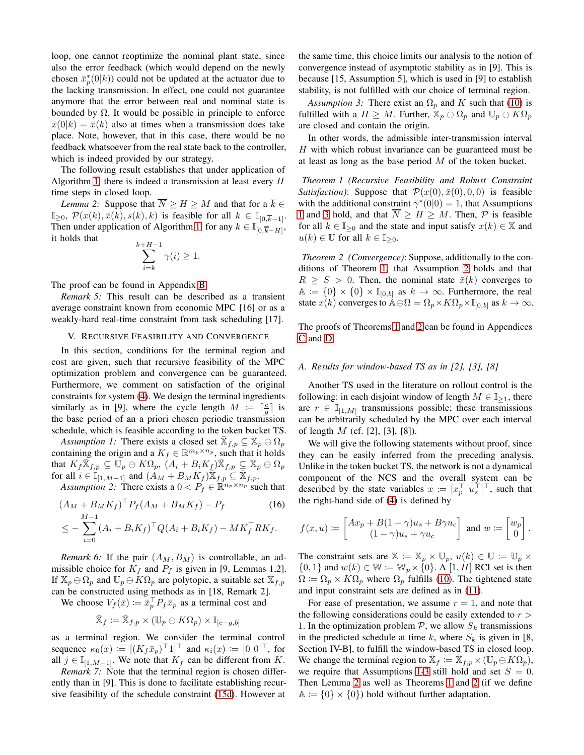loop, one cannot reoptimize the nominal plant state, since also the error feedback (which would depend on the newly chosen  $\bar{x}_p^*(0|k)$ ) could not be updated at the actuator due to the lacking transmission. In effect, one could not guarantee anymore that the error between real and nominal state is bounded by  $\Omega$ . It would be possible in principle to enforce  $\bar{x}(0|k) = \bar{x}(k)$  also at times when a transmission does take place. Note, however, that in this case, there would be no feedback whatsoever from the real state back to the controller, which is indeed provided by our strategy.

The following result establishes that under application of Algorithm [1,](#page-3-1) there is indeed a transmission at least every  $H$ time steps in closed loop.

<span id="page-4-7"></span>*Lemma 2:* Suppose that  $\overline{N} \geq H \geq M$  and that for a  $\overline{k} \in$  $\mathbb{I}_{\geq 0}$ ,  $\mathcal{P}(x(k), \bar{x}(k), s(k), k)$  is feasible for all  $k \in \mathbb{I}_{[0,\overline{k}-1]}$ . Then under application of Algorithm [1,](#page-3-1) for any  $k \in \mathbb{I}_{[0,\overline{k}-H]},$ it holds that  $\mathbf{k}$ 

$$
\sum_{i=k}^{k+H-1} \gamma(i) \ge 1.
$$

The proof can be found in Appendix [B.](#page-6-1)

*Remark 5:* This result can be described as a transient average constraint known from economic MPC [16] or as a weakly-hard real-time constraint from task scheduling [17].

#### <span id="page-4-0"></span>V. RECURSIVE FEASIBILITY AND CONVERGENCE

In this section, conditions for the terminal region and cost are given, such that recursive feasibility of the MPC optimization problem and convergence can be guaranteed. Furthermore, we comment on satisfaction of the original constraints for system [\(4\)](#page-2-3). We design the terminal ingredients similarly as in [9], where the cycle length  $M := \lceil \frac{c}{g} \rceil$  is the base period of an a priori chosen periodic transmission schedule, which is feasible according to the token bucket TS.

Assumption 1: There exists a closed set  $\bar{\mathbb{X}}_{f,p} \subseteq \mathbb{X}_p \ominus \Omega_p$ containing the origin and a  $K_f \in \mathbb{R}^{m_p \times n_p}$ , such that it holds that  $K_f \overline{\mathbb{X}}_{f,p} \subseteq \overline{\mathbb{U}}_p \ominus K\Omega_p, \ (A_i + B_i K_f) \overline{\mathbb{X}}_{f,p} \subseteq \mathbb{X}_p \ominus \Omega_p$ for all  $i \in \mathbb{I}_{[1,M-1]}$  and  $(A_M + B_M K_f) \overline{\mathbb{X}}_{f,p} \subseteq \overline{\mathbb{X}}_{f,p}$ .

*Assumption 2:* There exists a  $0 < P_f \in \mathbb{R}^{n_p \times n_p}$  such that

$$
(A_M + B_M K_f)^{\top} P_f (A_M + B_M K_f) - P_f
$$
\n
$$
< -\sum_{i=1}^{M-1} (A_i + B_i K_f)^{\top} O(A_i + B_i K_f) - M K_f^{\top} R K_f.
$$
\n(16)

$$
\leq -\sum_{i=0} \left( A_i + B_i K_f \right)^{\top} Q (A_i + B_i K_f) - M K_f^{\top} R K_f.
$$

<span id="page-4-8"></span>*Remark 6:* If the pair  $(A_M, B_M)$  is controllable, an admissible choice for  $K_f$  and  $P_f$  is given in [9, Lemmas 1,2]. If  $\mathbb{X}_p \ominus \Omega_p$  and  $\mathbb{U}_p \ominus \dot{K}\Omega_p$  are polytopic, a suitable set  $\bar{\mathbb{X}}_{f,p}$ can be constructed using methods as in [18, Remark 2].

We choose  $V_f(\bar{x}) \coloneqq \bar{x}_p^{\top} P_f \bar{x}_p$  as a terminal cost and

$$
\bar{\mathbb{X}}_f\coloneqq\bar{\mathbb{X}}_{f,p}\times(\mathbb{U}_p\ominus K\Omega_p)\times\mathbb{I}_{[c-g,b]}
$$

as a terminal region. We consider the terminal control sequence  $\kappa_0(x) \coloneqq [(K_f \bar{x}_p)^{\top} 1]^{\top}$  and  $\kappa_i(x) \coloneqq [0 \; 0]^{\top}$ , for all  $j \in \mathbb{I}_{[1,M-1]}$ . We note that  $K_f$  can be different from K.

*Remark 7:* Note that the terminal region is chosen differently than in [9]. This is done to facilitate establishing recursive feasibility of the schedule constraint [\(15d\)](#page-3-2). However at

the same time, this choice limits our analysis to the notion of convergence instead of asymptotic stability as in [9]. This is because [15, Assumption 5], which is used in [9] to establish stability, is not fulfilled with our choice of terminal region.

<span id="page-4-3"></span>*Assumption 3:* There exist an  $\Omega_p$  and K such that [\(10\)](#page-2-7) is fulfilled with a  $H \geq M$ . Further,  $\mathbb{X}_p \oplus \Omega_p$  and  $\mathbb{U}_p \oplus K\Omega_p$ are closed and contain the origin.

In other words, the admissible inter-transmission interval H with which robust invariance can be guaranteed must be at least as long as the base period  $M$  of the token bucket.

<span id="page-4-4"></span>*Theorem 1 (Recursive Feasibility and Robust Constraint Satisfaction*): Suppose that  $\mathcal{P}(x(0), \bar{x}(0), 0, 0)$  is feasible with the additional constraint  $\bar{\gamma}^*(0|0) = 1$ , that Assumptions [1](#page-4-2) and [3](#page-4-3) hold, and that  $\overline{N} \geq H \geq M$ . Then,  $\mathcal P$  is feasible for all  $k \in \mathbb{I}_{\geq 0}$  and the state and input satisfy  $x(k) \in \mathbb{X}$  and  $u(k) \in \mathbb{U}$  for all  $k \in \mathbb{I}_{>0}$ .

<span id="page-4-6"></span>*Theorem 2 (Convergence)*: Suppose, additionally to the conditions of Theorem [1,](#page-4-4) that Assumption [2](#page-4-5) holds and that  $R \geq S > 0$ . Then, the nominal state  $\bar{x}(k)$  converges to  $\mathbb{A} := \{0\} \times \{0\} \times \mathbb{I}_{[0,b]}$  as  $k \to \infty$ . Furthermore, the real state  $x(k)$  converges to  $\mathbb{A} \oplus \Omega = \Omega_p \times K\Omega_p \times \mathbb{I}_{[0,b]}$  as  $k \to \infty$ .

The proofs of Theorems [1](#page-4-4) and [2](#page-4-6) can be found in Appendices [C](#page-6-2) and [D.](#page-7-0)

#### <span id="page-4-1"></span>*A. Results for window-based TS as in [2], [3], [8]*

Another TS used in the literature on rollout control is the following: in each disjoint window of length  $M \in \mathbb{I}_{\geq 1}$ , there are  $r \in \mathbb{I}_{[1,M]}$  transmissions possible; these transmissions can be arbitrarily scheduled by the MPC over each interval of length  $M$  (cf. [2], [3], [8]).

<span id="page-4-2"></span>We will give the following statements without proof, since they can be easily inferred from the preceding analysis. Unlike in the token bucket TS, the network is not a dynamical component of the NCS and the overall system can be described by the state variables  $x \coloneqq [x_p^\top u_s^\top]^\top$ , such that the right-hand side of [\(4\)](#page-2-3) is defined by

<span id="page-4-5"></span>
$$
f(x,u) \coloneqq \begin{bmatrix} Ax_p + B(1-\gamma)u_s + B\gamma u_c \\ (1-\gamma)u_s + \gamma u_c \end{bmatrix} \text{ and } w \coloneqq \begin{bmatrix} w_p \\ 0 \end{bmatrix}.
$$

The constraint sets are  $\mathbb{X} := \mathbb{X}_p \times \mathbb{U}_p$ ,  $u(k) \in \mathbb{U} := \mathbb{U}_p \times$  $\{0, 1\}$  and  $w(k) \in \mathbb{W} := \mathbb{W}_p \times \{0\}$ . A  $[1, H]$  RCI set is then  $\Omega := \Omega_p \times K\Omega_p$  where  $\Omega_p$  fulfills [\(10\)](#page-2-7). The tightened state and input constraint sets are defined as in [\(11\)](#page-2-8).

For ease of presentation, we assume  $r = 1$ , and note that the following considerations could be easily extended to  $r >$ 1. In the optimization problem  $P$ , we allow  $S_k$  transmissions in the predicted schedule at time k, where  $S_k$  is given in [8, Section IV-B], to fulfill the window-based TS in closed loop. We change the terminal region to  $\overline{\mathbb{X}}_f := \overline{\mathbb{X}}_{f,p} \times (\mathbb{U}_p \ominus K\Omega_p)$ , we require that Assumptions [1-](#page-4-2)[3](#page-4-3) still hold and set  $S = 0$ . Then Lemma [2](#page-4-7) as well as Theorems [1](#page-4-4) and [2](#page-4-6) (if we define  $A := \{0\} \times \{0\}$  hold without further adaptation.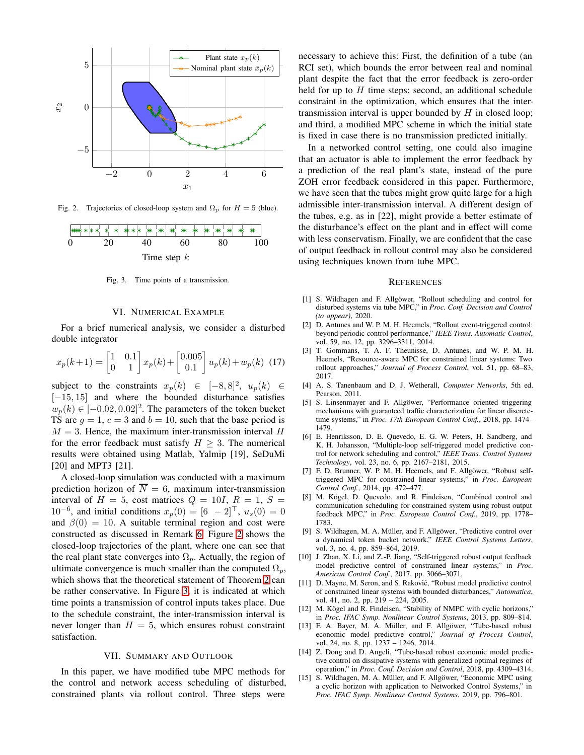

<span id="page-5-2"></span>Fig. 2. Trajectories of closed-loop system and  $\Omega_p$  for  $H = 5$  (blue).



<span id="page-5-3"></span>Fig. 3. Time points of a transmission.

## VI. NUMERICAL EXAMPLE

<span id="page-5-0"></span>For a brief numerical analysis, we consider a disturbed double integrator

$$
x_p(k+1) = \begin{bmatrix} 1 & 0.1 \\ 0 & 1 \end{bmatrix} x_p(k) + \begin{bmatrix} 0.005 \\ 0.1 \end{bmatrix} u_p(k) + w_p(k)
$$
 (17)

subject to the constraints  $x_p(k) \in [-8, 8]^2$ ,  $u_p(k) \in$ [−15, 15] and where the bounded disturbance satisfies  $w_p(k) \in [-0.02, 0.02]^2$ . The parameters of the token bucket TS are  $q = 1$ ,  $c = 3$  and  $b = 10$ , such that the base period is  $M = 3$ . Hence, the maximum inter-transmission interval H for the error feedback must satisfy  $H \geq 3$ . The numerical results were obtained using Matlab, Yalmip [19], SeDuMi [20] and MPT3 [21].

A closed-loop simulation was conducted with a maximum prediction horizon of  $\overline{N} = 6$ , maximum inter-transmission interval of  $H = 5$ , cost matrices  $Q = 10I$ ,  $R = 1$ ,  $S =$  $10^{-6}$ , and initial conditions  $x_p(0) = [6 \ -2]^\top$ ,  $u_s(0) = 0$ and  $\beta(0) = 10$ . A suitable terminal region and cost were constructed as discussed in Remark [6.](#page-4-8) Figure [2](#page-5-2) shows the closed-loop trajectories of the plant, where one can see that the real plant state converges into  $\Omega_p$ . Actually, the region of ultimate convergence is much smaller than the computed  $\Omega_n$ , which shows that the theoretical statement of Theorem [2](#page-4-6) can be rather conservative. In Figure [3,](#page-5-3) it is indicated at which time points a transmission of control inputs takes place. Due to the schedule constraint, the inter-transmission interval is never longer than  $H = 5$ , which ensures robust constraint satisfaction.

#### VII. SUMMARY AND OUTLOOK

<span id="page-5-1"></span>In this paper, we have modified tube MPC methods for the control and network access scheduling of disturbed, constrained plants via rollout control. Three steps were

necessary to achieve this: First, the definition of a tube (an RCI set), which bounds the error between real and nominal plant despite the fact that the error feedback is zero-order held for up to  $H$  time steps; second, an additional schedule constraint in the optimization, which ensures that the intertransmission interval is upper bounded by  $H$  in closed loop; and third, a modified MPC scheme in which the initial state is fixed in case there is no transmission predicted initially.

In a networked control setting, one could also imagine that an actuator is able to implement the error feedback by a prediction of the real plant's state, instead of the pure ZOH error feedback considered in this paper. Furthermore, we have seen that the tubes might grow quite large for a high admissible inter-transmission interval. A different design of the tubes, e.g. as in [22], might provide a better estimate of the disturbance's effect on the plant and in effect will come with less conservatism. Finally, we are confident that the case of output feedback in rollout control may also be considered using techniques known from tube MPC.

#### **REFERENCES**

- [1] S. Wildhagen and F. Allgöwer, "Rollout scheduling and control for disturbed systems via tube MPC," in *Proc. Conf. Decision and Control (to appear)*, 2020.
- [2] D. Antunes and W. P. M. H. Heemels, "Rollout event-triggered control: beyond periodic control performance," *IEEE Trans. Automatic Control*, vol. 59, no. 12, pp. 3296–3311, 2014.
- [3] T. Gommans, T. A. F. Theunisse, D. Antunes, and W. P. M. H. Heemels, "Resource-aware MPC for constrained linear systems: Two rollout approaches," *Journal of Process Control*, vol. 51, pp. 68–83, 2017.
- [4] A. S. Tanenbaum and D. J. Wetherall, *Computer Networks*, 5th ed. Pearson, 2011.
- [5] S. Linsenmayer and F. Allgöwer, "Performance oriented triggering mechanisms with guaranteed traffic characterization for linear discretetime systems," in *Proc. 17th European Control Conf.*, 2018, pp. 1474– 1479.
- [6] E. Henriksson, D. E. Quevedo, E. G. W. Peters, H. Sandberg, and K. H. Johansson, "Multiple-loop self-triggered model predictive control for network scheduling and control," *IEEE Trans. Control Systems Technology*, vol. 23, no. 6, pp. 2167–2181, 2015.
- [7] F. D. Brunner, W. P. M. H. Heemels, and F. Allgöwer, "Robust selftriggered MPC for constrained linear systems," in *Proc. European Control Conf.*, 2014, pp. 472–477.
- [8] M. Kögel, D. Quevedo, and R. Findeisen, "Combined control and communication scheduling for constrained system using robust output feedback MPC," in *Proc. European Control Conf.*, 2019, pp. 1778– 1783.
- [9] S. Wildhagen, M. A. Müller, and F. Allgöwer, "Predictive control over a dynamical token bucket network," *IEEE Control Systems Letters*, vol. 3, no. 4, pp. 859–864, 2019.
- [10] J. Zhan, X. Li, and Z.-P. Jiang, "Self-triggered robust output feedback model predictive control of constrained linear systems," in *Proc. American Control Conf.*, 2017, pp. 3066–3071.
- [11] D. Mayne, M. Seron, and S. Raković, "Robust model predictive control of constrained linear systems with bounded disturbances," *Automatica*, vol. 41, no. 2, pp. 219 – 224, 2005.
- [12] M. Kögel and R. Findeisen, "Stability of NMPC with cyclic horizons," in *Proc. IFAC Symp. Nonlinear Control Systems*, 2013, pp. 809–814.
- [13] F. A. Bayer, M. A. Müller, and F. Allgöwer, "Tube-based robust economic model predictive control," *Journal of Process Control*, vol. 24, no. 8, pp. 1237 – 1246, 2014.
- [14] Z. Dong and D. Angeli, "Tube-based robust economic model predictive control on dissipative systems with generalized optimal regimes of operation," in *Proc. Conf. Decision and Control*, 2018, pp. 4309–4314.
- [15] S. Wildhagen, M. A. Müller, and F. Allgöwer, "Economic MPC using a cyclic horizon with application to Networked Control Systems," in *Proc. IFAC Symp. Nonlinear Control Systems*, 2019, pp. 796–801.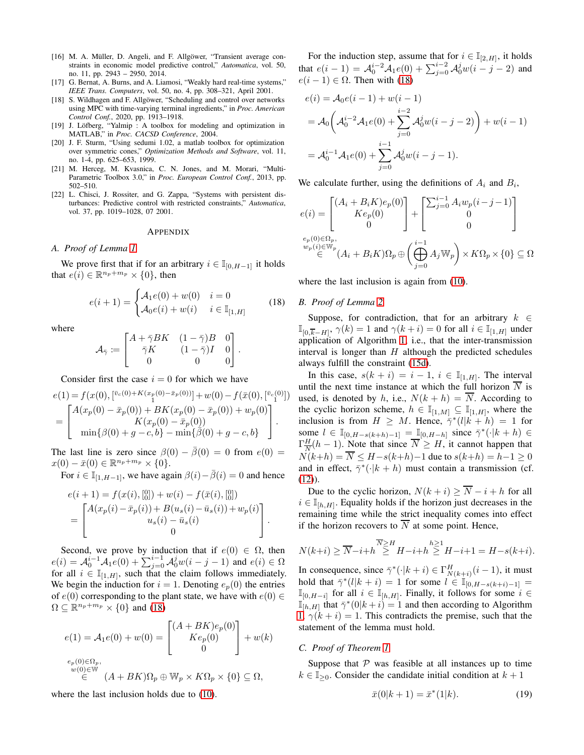- [16] M. A. Müller, D. Angeli, and F. Allgöwer, "Transient average constraints in economic model predictive control," *Automatica*, vol. 50, no. 11, pp. 2943 – 2950, 2014.
- [17] G. Bernat, A. Burns, and A. Liamosi, "Weakly hard real-time systems," *IEEE Trans. Computers*, vol. 50, no. 4, pp. 308–321, April 2001.
- [18] S. Wildhagen and F. Allgöwer, "Scheduling and control over networks using MPC with time-varying terminal ingredients," in *Proc. American Control Conf.*, 2020, pp. 1913–1918.
- [19] J. Löfberg, "Yalmip : A toolbox for modeling and optimization in MATLAB," in *Proc. CACSD Conference*, 2004.
- [20] J. F. Sturm, "Using sedumi 1.02, a matlab toolbox for optimization over symmetric cones," *Optimization Methods and Software*, vol. 11, no. 1-4, pp. 625–653, 1999.
- [21] M. Herceg, M. Kvasnica, C. N. Jones, and M. Morari, "Multi-Parametric Toolbox 3.0," in *Proc. European Control Conf.*, 2013, pp. 502–510.
- [22] L. Chisci, J. Rossiter, and G. Zappa, "Systems with persistent disturbances: Predictive control with restricted constraints," *Automatica*, vol. 37, pp. 1019–1028, 07 2001.

#### **APPENDIX**

#### <span id="page-6-0"></span>*A. Proof of Lemma [1](#page-2-7)*

We prove first that if for an arbitrary  $i \in \mathbb{I}_{[0,H-1]}$  it holds that  $e(i) \in \mathbb{R}^{n_p + m_p} \times \{0\}$ , then

<span id="page-6-3"></span>
$$
e(i+1) = \begin{cases} \mathcal{A}_1 e(0) + w(0) & i = 0\\ \mathcal{A}_0 e(i) + w(i) & i \in \mathbb{I}_{[1,H]} \end{cases} \tag{18}
$$

where

$$
\mathcal{A}_{\bar{\gamma}} := \begin{bmatrix} A + \bar{\gamma} BK & (1 - \bar{\gamma})B & 0 \\ \bar{\gamma} K & (1 - \bar{\gamma})I & 0 \\ 0 & 0 & 0 \end{bmatrix}.
$$

Consider first the case  $i = 0$  for which we have

$$
e(1) = f(x(0), [\bar{v}_c^{(0)} + K(x_p(0) - \bar{x}_p(0))] + w(0) - f(\bar{x}(0), [\bar{v}_c^{(0)}])
$$
  
= 
$$
\begin{bmatrix} A(x_p(0) - \bar{x}_p(0)) + BK(x_p(0) - \bar{x}_p(0)) + w_p(0) \\ K(x_p(0) - \bar{x}_p(0)) \\ \min{\{\beta(0) + g - c, b\}} - \min{\{\beta(0) + g - c, b\}} \end{bmatrix}.
$$

The last line is zero since  $\beta(0) - \bar{\beta}(0) = 0$  from  $e(0) =$  $x(0) - \bar{x}(0) \in \mathbb{R}^{n_p + m_p} \times \{0\}.$ 

For  $i \in \mathbb{I}_{[1,H-1]}$ , we have again  $\beta(i)-\overline{\beta}(i)=0$  and hence

$$
e(i + 1) = f(x(i), [0]) + w(i) - f(\bar{x}(i), [0])
$$
  
= 
$$
\begin{bmatrix} A(x_p(i) - \bar{x}_p(i)) + B(u_s(i) - \bar{u}_s(i)) + w_p(i) \\ u_s(i) - \bar{u}_s(i) \\ 0 \end{bmatrix}.
$$

Second, we prove by induction that if  $e(0) \in \Omega$ , then  $e(i) = A_0^{i-1} A_1 e(0) + \sum_{j=0}^{i-1} A_0^j w(i-j-1)$  and  $e(i) \in \Omega$ for all  $i \in \mathbb{I}_{[1,H]}$ , such that the claim follows immediately. We begin the induction for  $i = 1$ . Denoting  $e_p(0)$  the entries of  $e(0)$  corresponding to the plant state, we have with  $e(0) \in$  $\Omega \subseteq \mathbb{R}^{n_p + m_p} \times \{0\}$  and [\(18\)](#page-6-3)

$$
e(1) = A_1 e(0) + w(0) = \begin{bmatrix} (A + BK)e_p(0) \\ Ke_p(0) \\ 0 \end{bmatrix} + w(k)
$$
  

$$
e_p(0) \in \Omega_p,
$$
  

$$
w(0) \in W
$$
  

$$
\in (A + BK)\Omega_p \oplus W_p \times K\Omega_p \times \{0\} \subseteq \Omega,
$$

where the last inclusion holds due to [\(10\)](#page-2-7).

For the induction step, assume that for  $i \in \mathbb{I}_{[2,H]}$ , it holds that  $e(i-1) = \mathcal{A}_0^{i-2} \mathcal{A}_1 e(0) + \sum_{j=0}^{i-2} \mathcal{A}_0^j w(i-j-2)$  and  $e(i - 1) \in \Omega$ . Then with [\(18\)](#page-6-3)

$$
e(i) = \mathcal{A}_0 e(i-1) + w(i-1)
$$
  
=  $\mathcal{A}_0 \left( \mathcal{A}_0^{i-2} \mathcal{A}_1 e(0) + \sum_{j=0}^{i-2} \mathcal{A}_0^j w(i-j-2) \right) + w(i-1)$   
=  $\mathcal{A}_0^{i-1} \mathcal{A}_1 e(0) + \sum_{j=0}^{i-1} \mathcal{A}_0^j w(i-j-1).$ 

We calculate further, using the definitions of  $A_i$  and  $B_i$ ,

$$
e(i) = \begin{bmatrix} (A_i + B_i K)e_p(0) \\ Ke_p(0) \\ 0 \end{bmatrix} + \begin{bmatrix} \sum_{j=0}^{i-1} A_i w_p(i-j-1) \\ 0 \\ 0 \end{bmatrix}
$$

$$
e_p(0) \in \Omega_p,
$$

$$
w_p(i) \in \mathbb{W}_p
$$

$$
\in (A_i + B_i K)\Omega_p \oplus \left(\bigoplus_{j=0}^{i-1} A_j \mathbb{W}_p\right) \times K\Omega_p \times \{0\} \subseteq \Omega
$$

<span id="page-6-1"></span>where the last inclusion is again from  $(10)$ .

#### *B. Proof of Lemma [2](#page-4-7)*

Suppose, for contradiction, that for an arbitrary  $k \in$  $\mathbb{I}_{[0,\overline{k}-H]}, \gamma(k) = 1$  and  $\gamma(k+i) = 0$  for all  $i \in \mathbb{I}_{[1,H]}$  under application of Algorithm [1,](#page-3-1) i.e., that the inter-transmission interval is longer than  $H$  although the predicted schedules always fulfill the constraint [\(15d\)](#page-3-2).

In this case,  $s(k + i) = i - 1$ ,  $i \in \mathbb{I}_{[1,H]}$ . The interval until the next time instance at which the full horizon  $\overline{N}$  is used, is denoted by h, i.e.,  $N(k+h) = \overline{N}$ . According to the cyclic horizon scheme,  $h \in \mathbb{I}_{[1,M]} \subseteq \mathbb{I}_{[1,H]}$ , where the inclusion is from  $H \geq M$ . Hence,  $\bar{\gamma}^*(l|k+h) = 1$  for some  $l \in \mathbb{I}_{[0,H-s(k+h)-1]} = \mathbb{I}_{[0,H-h]}$  since  $\bar{\gamma}^*(\cdot|k+h) \in$  $\Gamma^H_{\overline{\mathcal{M}}}$  $\frac{H}{N}(h-1)$ . Note that since  $N \geq H$ , it cannot happen that  $N(k+h) = \overline{N} \le H - s(k+h) - 1$  due to  $s(k+h) = h - 1 \ge 0$ and in effect,  $\bar{\gamma}^*(\cdot|k+h)$  must contain a transmission (cf.  $(12)$ ).

Due to the cyclic horizon,  $N(k + i) \ge \overline{N} - i + h$  for all  $i \in \mathbb{I}_{[h,H]}$ . Equality holds if the horizon just decreases in the remaining time while the strict inequality comes into effect if the horizon recovers to  $\overline{N}$  at some point. Hence,

$$
N(k+i) \ge \overline{N} - i + h \stackrel{\overline{N} \ge H}{\ge} H - i + h \stackrel{h \ge 1}{\ge} H - i + 1 = H - s(k+i).
$$

In consequence, since  $\bar{\gamma}^*(\cdot|k+i) \in \Gamma_{N(k+i)}^H(i-1)$ , it must hold that  $\bar{\gamma}^*(l|k+i) = 1$  for some  $\bar{l} \in \mathbb{I}_{[0,H-s(k+i)-1]}$  $\mathbb{I}_{[0,H-i]}$  for all  $i \in \mathbb{I}_{[h,H]}$ . Finally, it follows for some  $i \in$  $\mathbb{I}_{[h,H]}$  that  $\bar{\gamma}^*(0|k+i) = 1$  and then according to Algorithm [1,](#page-3-1)  $\gamma(k + i) = 1$ . This contradicts the premise, such that the statement of the lemma must hold.

#### <span id="page-6-2"></span>*C. Proof of Theorem [1](#page-4-4)*

Suppose that  $P$  was feasible at all instances up to time  $k \in \mathbb{I}_{\geq 0}$ . Consider the candidate initial condition at  $k+1$ 

<span id="page-6-4"></span>
$$
\bar{x}(0|k+1) = \bar{x}^*(1|k). \tag{19}
$$